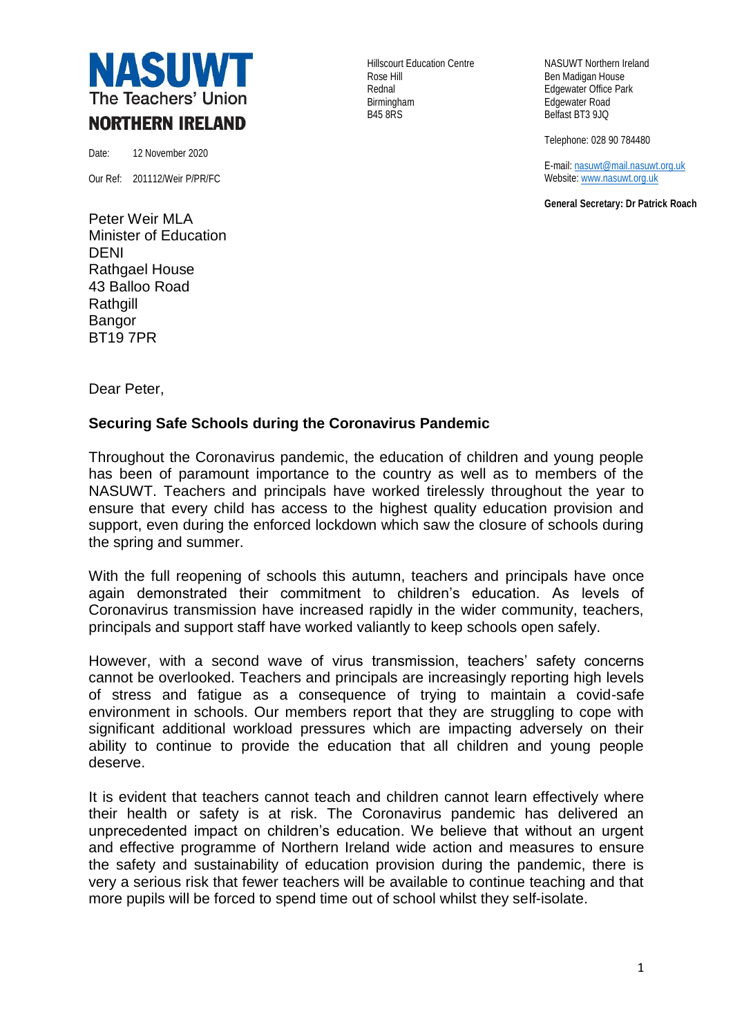

Date: 12 November 2020

Our Ref: 201112/Weir P/PR/FC

Peter Weir MLA Minister of Education DENI Rathgael House 43 Balloo Road **Rathgill** Bangor BT19 7PR

Rose Hill **Ben Madigan House** Rednal **Edgewater Office Park** Birmingham **Edgewater Road**<br>B45 8RS Belfast BT3 9JQ

Hillscourt Education Centre NASUWT Northern Ireland Belfast BT3 9JQ

Telephone: 028 90 784480

E-mail[: nasuwt@mail.nasuwt.org.uk](mailto:nasuwt@mail.nasuwt.org.uk) Website[: www.nasuwt.org.uk](http://www.nasuwt.org.uk/)

**General Secretary: Dr Patrick Roach**

Dear Peter,

## **Securing Safe Schools during the Coronavirus Pandemic**

Throughout the Coronavirus pandemic, the education of children and young people has been of paramount importance to the country as well as to members of the NASUWT. Teachers and principals have worked tirelessly throughout the year to ensure that every child has access to the highest quality education provision and support, even during the enforced lockdown which saw the closure of schools during the spring and summer.

With the full reopening of schools this autumn, teachers and principals have once again demonstrated their commitment to children's education. As levels of Coronavirus transmission have increased rapidly in the wider community, teachers, principals and support staff have worked valiantly to keep schools open safely.

However, with a second wave of virus transmission, teachers' safety concerns cannot be overlooked. Teachers and principals are increasingly reporting high levels of stress and fatigue as a consequence of trying to maintain a covid-safe environment in schools. Our members report that they are struggling to cope with significant additional workload pressures which are impacting adversely on their ability to continue to provide the education that all children and young people deserve.

It is evident that teachers cannot teach and children cannot learn effectively where their health or safety is at risk. The Coronavirus pandemic has delivered an unprecedented impact on children's education. We believe that without an urgent and effective programme of Northern Ireland wide action and measures to ensure the safety and sustainability of education provision during the pandemic, there is very a serious risk that fewer teachers will be available to continue teaching and that more pupils will be forced to spend time out of school whilst they self-isolate.